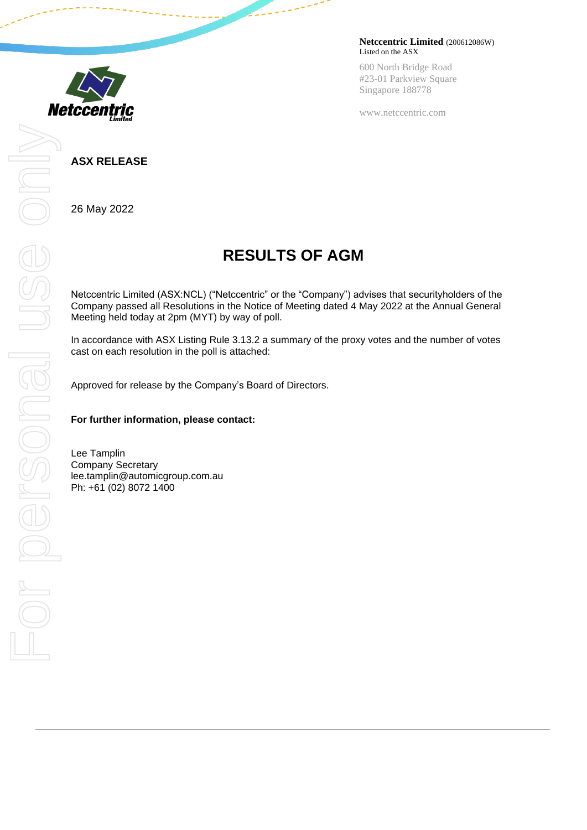

**Netccentric Limited** (200612086W) Listed on the ASX

600 North Bridge Road #23-01 Parkview Square Singapore 188778

www.netccentric.com

## **ASX RELEASE**

26 May 2022

## **RESULTS OF AGM**

Netccentric Limited (ASX:NCL) ("Netccentric" or the "Company") advises that securityholders of the Company passed all Resolutions in the Notice of Meeting dated 4 May 2022 at the Annual General Meeting held today at 2pm (MYT) by way of poll.

In accordance with ASX Listing Rule 3.13.2 a summary of the proxy votes and the number of votes cast on each resolution in the poll is attached:

Approved for release by the Company's Board of Directors.

## **For further information, please contact:**

Lee Tamplin Company Secretary lee.tamplin@automicgroup.com.au Ph: +61 (02) 8072 1400